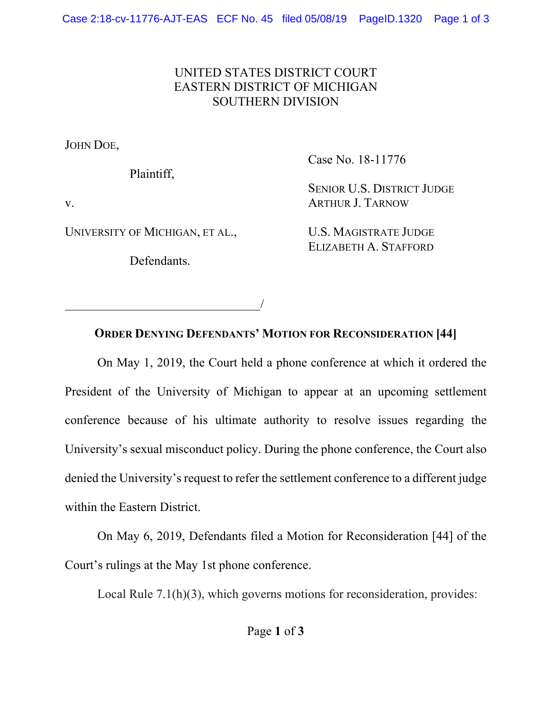## UNITED STATES DISTRICT COURT EASTERN DISTRICT OF MICHIGAN SOUTHERN DIVISION

JOHN DOE,

Plaintiff,

Case No. 18-11776

v.

UNIVERSITY OF MICHIGAN, ET AL.,

Defendants.

<u>/</u>

SENIOR U.S. DISTRICT JUDGE ARTHUR J. TARNOW

U.S. MAGISTRATE JUDGE ELIZABETH A. STAFFORD

**ORDER DENYING DEFENDANTS' MOTION FOR RECONSIDERATION [44]**

 On May 1, 2019, the Court held a phone conference at which it ordered the President of the University of Michigan to appear at an upcoming settlement conference because of his ultimate authority to resolve issues regarding the University's sexual misconduct policy. During the phone conference, the Court also denied the University's request to refer the settlement conference to a different judge within the Eastern District.

 On May 6, 2019, Defendants filed a Motion for Reconsideration [44] of the Court's rulings at the May 1st phone conference.

Local Rule 7.1(h)(3), which governs motions for reconsideration, provides: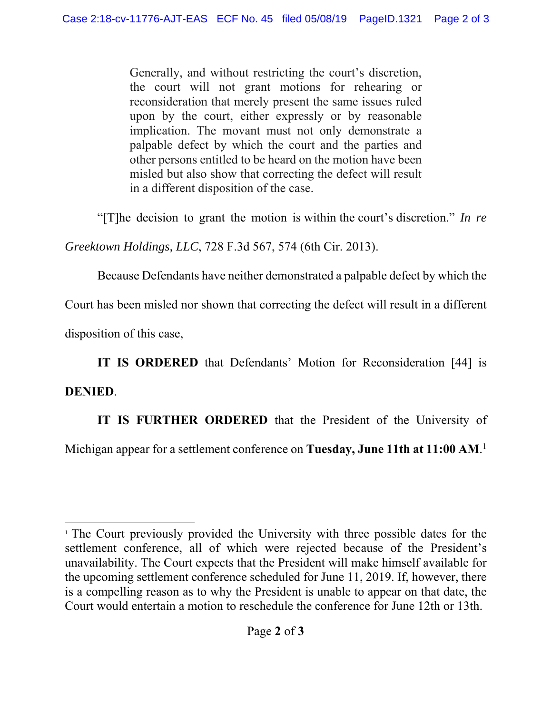Generally, and without restricting the court's discretion, the court will not grant motions for rehearing or reconsideration that merely present the same issues ruled upon by the court, either expressly or by reasonable implication. The movant must not only demonstrate a palpable defect by which the court and the parties and other persons entitled to be heard on the motion have been misled but also show that correcting the defect will result in a different disposition of the case.

"[T]he decision to grant the motion is within the court's discretion." *In re* 

*Greektown Holdings, LLC*, 728 F.3d 567, 574 (6th Cir. 2013).

Because Defendants have neither demonstrated a palpable defect by which the

Court has been misled nor shown that correcting the defect will result in a different

disposition of this case,

 **IT IS ORDERED** that Defendants' Motion for Reconsideration [44] is

## **DENIED**.

 $\overline{a}$ 

**IT IS FURTHER ORDERED** that the President of the University of

Michigan appear for a settlement conference on **Tuesday, June 11th at 11:00 AM**. 1

<sup>&</sup>lt;sup>1</sup> The Court previously provided the University with three possible dates for the settlement conference, all of which were rejected because of the President's unavailability. The Court expects that the President will make himself available for the upcoming settlement conference scheduled for June 11, 2019. If, however, there is a compelling reason as to why the President is unable to appear on that date, the Court would entertain a motion to reschedule the conference for June 12th or 13th.